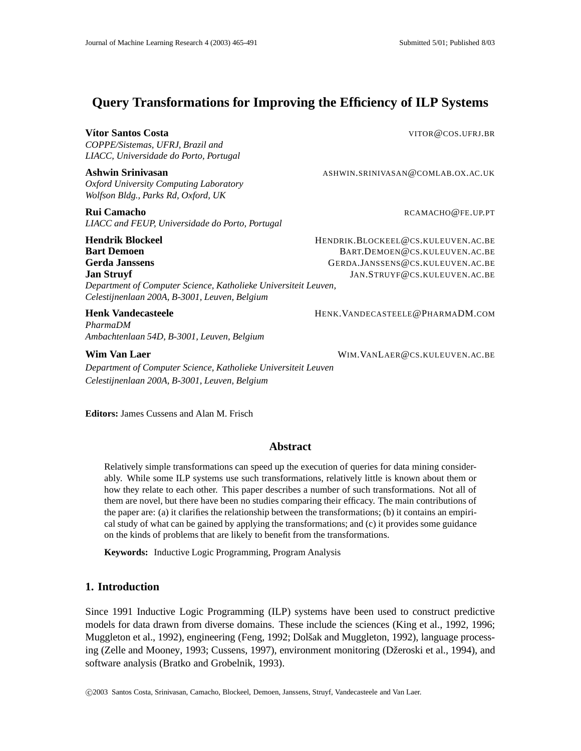# **Query Transformations for Improving the Efficiency of ILP Systems**

#### **Vítor Santos Costa** VITOR **@COS.UFRJ.BR**

*COPPE/Sistemas, UFRJ, Brazil and LIACC, Universidade do Porto, Portugal*

*Oxford University Computing Laboratory Wolfson Bldg., Parks Rd, Oxford, UK*

*LIACC and FEUP, Universidade do Porto, Portugal*

*Department of Computer Science, Katholieke Universiteit Leuven,*

*Celestijnenlaan 200A, B-3001, Leuven, Belgium*

*PharmaDM Ambachtenlaan 54D, B-3001, Leuven, Belgium*

*Department of Computer Science, Katholieke Universiteit Leuven Celestijnenlaan 200A, B-3001, Leuven, Belgium*

**Editors:** James Cussens and Alan M. Frisch

### **Abstract**

Relatively simple transformations can speed up the execution of queries for data mining considerably. While some ILP systems use such transformations, relatively little is known about them or how they relate to each other. This paper describes a number of such transformations. Not all of them are novel, but there have been no studies comparing their efficacy. The main contributions of the paper are: (a) it clarifies the relationship between the transformations; (b) it contains an empirical study of what can be gained by applying the transformations; and (c) it provides some guidance on the kinds of problems that are likely to benefit from the transformations.

**Keywords:** Inductive Logic Programming, Program Analysis

## **1. Introduction**

Since 1991 Inductive Logic Programming (ILP) systems have been used to construct predictive models for data drawn from diverse domains. These include the sciences (King et al., 1992, 1996; Muggleton et al., 1992), engineering (Feng, 1992; Dolšak and Muggleton, 1992), language processing (Zelle and Mooney, 1993; Cussens, 1997), environment monitoring (Džeroski et al., 1994), and software analysis (Bratko and Grobelnik, 1993).

c 2003 Santos Costa, Srinivasan, Camacho, Blockeel, Demoen, Janssens, Struyf, Vandecasteele and Van Laer.

**Ashwin Srinivasan ASHWIN.SRINIVASAN@COMLAB.OX.AC.UK** 

**Rui Camacho** Research Camacho Research Camacho Research Camacho Research Research Research Research Research Research Research Research Research Research Research Research Research Research Research Research Research Rese

**Hendrik Blockeel** HENDRIK.BLOCKEEL@CS.KULEUVEN.AC.BE **Bart Demoen** BART.DEMOEN@CS.KULEUVEN.AC.BE **Gerda Janssens** GERDA.JANSSENS@CS.KULEUVEN.AC.BE **Jan Struyf JAN.STRUYF@CS.KULEUVEN.AC.BE** 

Henk Vandecasteele **HENK.VANDECASTEELE@PHARMADM.COM** 

**Wim Van Laer** WIM.VANLAER@CS.KULEUVEN.AC.BE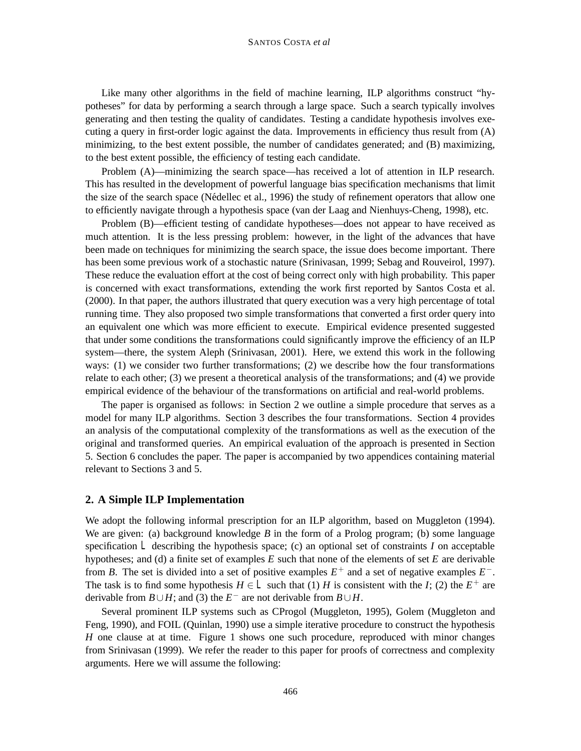#### SANTOS COSTA *et al*

Like many other algorithms in the field of machine learning, ILP algorithms construct "hypotheses" for data by performing a search through a large space. Such a search typically involves generating and then testing the quality of candidates. Testing a candidate hypothesis involves executing a query in first-order logic against the data. Improvements in efficiency thus result from (A) minimizing, to the best extent possible, the number of candidates generated; and (B) maximizing, to the best extent possible, the efficiency of testing each candidate.

Problem (A)—minimizing the search space—has received a lot of attention in ILP research. This has resulted in the development of powerful language bias specification mechanisms that limit the size of the search space (Nédellec et al., 1996) the study of refinement operators that allow one to efficiently navigate through a hypothesis space (van der Laag and Nienhuys-Cheng, 1998), etc.

Problem (B)—efficient testing of candidate hypotheses—does not appear to have received as much attention. It is the less pressing problem: however, in the light of the advances that have been made on techniques for minimizing the search space, the issue does become important. There has been some previous work of a stochastic nature (Srinivasan, 1999; Sebag and Rouveirol, 1997). These reduce the evaluation effort at the cost of being correct only with high probability. This paper is concerned with exact transformations, extending the work first reported by Santos Costa et al. (2000). In that paper, the authors illustrated that query execution was a very high percentage of total running time. They also proposed two simple transformations that converted a first order query into an equivalent one which was more efficient to execute. Empirical evidence presented suggested that under some conditions the transformations could significantly improve the efficiency of an ILP system—there, the system Aleph (Srinivasan, 2001). Here, we extend this work in the following ways: (1) we consider two further transformations; (2) we describe how the four transformations relate to each other; (3) we present a theoretical analysis of the transformations; and (4) we provide empirical evidence of the behaviour of the transformations on artificial and real-world problems.

The paper is organised as follows: in Section 2 we outline a simple procedure that serves as a model for many ILP algorithms. Section 3 describes the four transformations. Section 4 provides an analysis of the computational complexity of the transformations as well as the execution of the original and transformed queries. An empirical evaluation of the approach is presented in Section 5. Section 6 concludes the paper. The paper is accompanied by two appendices containing material relevant to Sections 3 and 5.

## **2. A Simple ILP Implementation**

We adopt the following informal prescription for an ILP algorithm, based on Muggleton (1994). We are given: (a) background knowledge *B* in the form of a Prolog program; (b) some language specification *L* describing the hypothesis space; (c) an optional set of constraints *I* on acceptable hypotheses; and (d) a finite set of examples *E* such that none of the elements of set *E* are derivable from *B*. The set is divided into a set of positive examples  $E^+$  and a set of negative examples  $E^-$ . The task is to find some hypothesis  $H \in L$  such that (1) *H* is consistent with the *I*; (2) the  $E^+$  are derivable from *B*∪*H*; and (3) the  $E^-$  are not derivable from *B*∪*H*.

Several prominent ILP systems such as CProgol (Muggleton, 1995), Golem (Muggleton and Feng, 1990), and FOIL (Quinlan, 1990) use a simple iterative procedure to construct the hypothesis *H* one clause at at time. Figure 1 shows one such procedure, reproduced with minor changes from Srinivasan (1999). We refer the reader to this paper for proofs of correctness and complexity arguments. Here we will assume the following: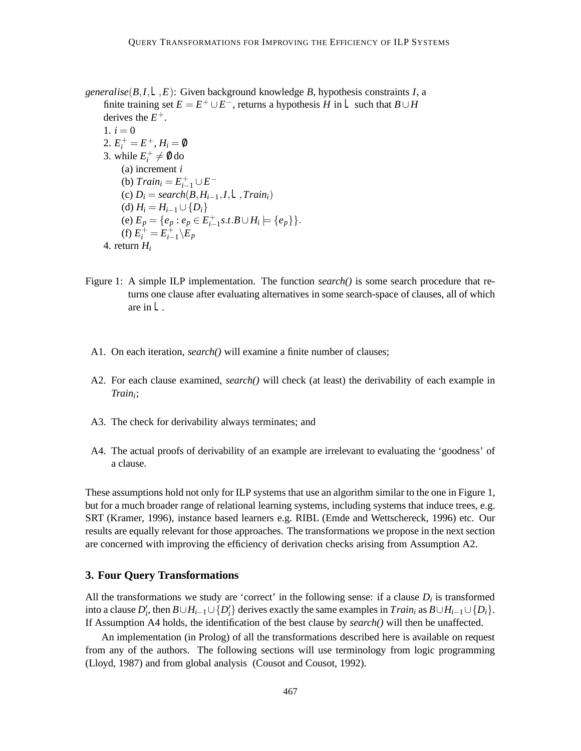*generalise*(*B*,*I*,*L*,*E*): Given background knowledge *B*, hypothesis constraints *I*, a finite training set  $E = E^+ \cup E^-$ , returns a hypothesis *H* in *L* such that  $B \cup H$ derives the  $E^+$ .

1.  $i = 0$ 2.  $E_i^+ = E^+, H_i = \emptyset$ 3. while  $E_i^+ \neq \emptyset$  do (a) increment *i* (b)  $Train_i = E_{i-1}^+ \cup E^-$ (c) *Di* = *search*(*B*,*Hi*−1,*I*,*L*,*Traini*) (d)  $H_i = H_{i-1} \cup \{D_i\}$ (e)  $E_p = \{e_p : e_p \in E_{i-1}^+ s.t.B \cup H_i \models \{e_p\}\}.$ (f)  $E_i^+ = E_{i-1}^+ \setminus E_p$ 4. return *Hi*

- Figure 1: A simple ILP implementation. The function *search()* is some search procedure that returns one clause after evaluating alternatives in some search-space of clauses, all of which are in *L*.
- A1. On each iteration, *search()* will examine a finite number of clauses;
- A2. For each clause examined, *search()* will check (at least) the derivability of each example in *Traini*;
- A3. The check for derivability always terminates; and
- A4. The actual proofs of derivability of an example are irrelevant to evaluating the 'goodness' of a clause.

These assumptions hold not only for ILP systems that use an algorithm similar to the one in Figure 1, but for a much broader range of relational learning systems, including systems that induce trees, e.g. SRT (Kramer, 1996), instance based learners e.g. RIBL (Emde and Wettschereck, 1996) etc. Our results are equally relevant for those approaches. The transformations we propose in the next section are concerned with improving the efficiency of derivation checks arising from Assumption A2.

#### **3. Four Query Transformations**

All the transformations we study are 'correct' in the following sense: if a clause  $D_i$  is transformed into a clause  $D'_i$ , then  $B \cup H_{i-1} \cup \{D'_i\}$  derives exactly the same examples in  $Train_i$  as  $B \cup H_{i-1} \cup \{D_i\}$ . If Assumption A4 holds, the identification of the best clause by *search()* will then be unaffected.

An implementation (in Prolog) of all the transformations described here is available on request from any of the authors. The following sections will use terminology from logic programming (Lloyd, 1987) and from global analysis (Cousot and Cousot, 1992).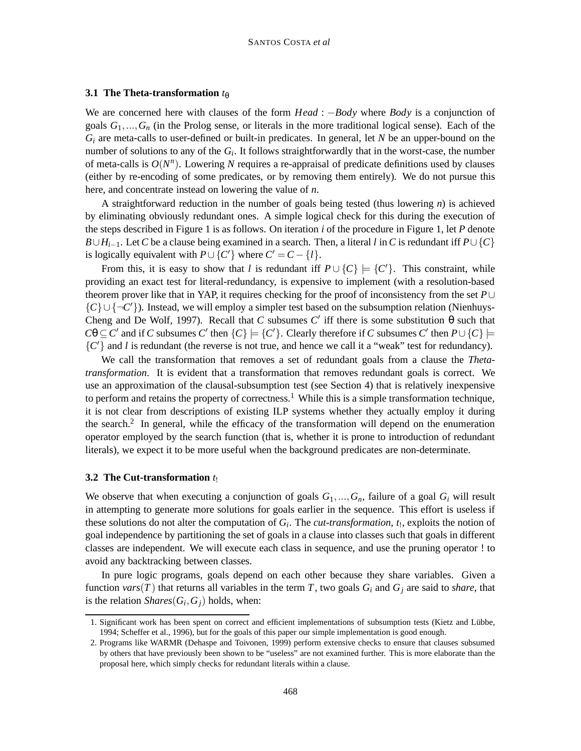#### **3.1 The Theta-transformation**  $t_{\theta}$

We are concerned here with clauses of the form *Head* : −*Body* where *Body* is a conjunction of goals  $G_1, ..., G_n$  (in the Prolog sense, or literals in the more traditional logical sense). Each of the *Gi* are meta-calls to user-defined or built-in predicates. In general, let *N* be an upper-bound on the number of solutions to any of the *Gi*. It follows straightforwardly that in the worst-case, the number of meta-calls is  $O(N^n)$ . Lowering *N* requires a re-appraisal of predicate definitions used by clauses (either by re-encoding of some predicates, or by removing them entirely). We do not pursue this here, and concentrate instead on lowering the value of *n*.

A straightforward reduction in the number of goals being tested (thus lowering *n*) is achieved by eliminating obviously redundant ones. A simple logical check for this during the execution of the steps described in Figure 1 is as follows. On iteration *i* of the procedure in Figure 1, let *P* denote *B*∪*H*<sub>*i*−1</sub>. Let *C* be a clause being examined in a search. Then, a literal *l* in *C* is redundant iff  $P \cup \{C\}$ is logically equivalent with  $P \cup \{C\}$  where  $C' = C - \{l\}.$ 

From this, it is easy to show that *l* is redundant iff  $P \cup \{C\} \models \{C'\}$ . This constraint, while providing an exact test for literal-redundancy, is expensive to implement (with a resolution-based theorem prover like that in YAP, it requires checking for the proof of inconsistency from the set *P*∪ {*C*}∪{¬*C*'}). Instead, we will employ a simpler test based on the subsumption relation (Nienhuys-Cheng and De Wolf, 1997). Recall that *C* subsumes *C'* iff there is some substitution θ such that  $C\theta \subseteq C'$  and if *C* subsumes  $C'$  then  $\{C\} \models \{C'\}$ . Clearly therefore if *C* subsumes  $C'$  then  $P \cup \{C\} \models$  ${C'}$  and *l* is redundant (the reverse is not true, and hence we call it a "weak" test for redundancy).

We call the transformation that removes a set of redundant goals from a clause the *Thetatransformation*. It is evident that a transformation that removes redundant goals is correct. We use an approximation of the clausal-subsumption test (see Section 4) that is relatively inexpensive to perform and retains the property of correctness.<sup>1</sup> While this is a simple transformation technique, it is not clear from descriptions of existing ILP systems whether they actually employ it during the search.<sup>2</sup> In general, while the efficacy of the transformation will depend on the enumeration operator employed by the search function (that is, whether it is prone to introduction of redundant literals), we expect it to be more useful when the background predicates are non-determinate.

#### **3.2 The Cut-transformation** *t*!

We observe that when executing a conjunction of goals  $G_1, ..., G_n$ , failure of a goal  $G_i$  will result in attempting to generate more solutions for goals earlier in the sequence. This effort is useless if these solutions do not alter the computation of  $G_i$ . The *cut-transformation*,  $t_1$ , exploits the notion of goal independence by partitioning the set of goals in a clause into classes such that goals in different classes are independent. We will execute each class in sequence, and use the pruning operator ! to avoid any backtracking between classes.

In pure logic programs, goals depend on each other because they share variables. Given a function *vars*(*T*) that returns all variables in the term *T*, two goals  $G_i$  and  $G_j$  are said to *share*, that is the relation *Shares*( $G_i$ ,  $G_j$ ) holds, when:

<sup>1.</sup> Significant work has been spent on correct and efficient implementations of subsumption tests (Kietz and Lübbe, 1994; Scheffer et al., 1996), but for the goals of this paper our simple implementation is good enough.

<sup>2.</sup> Programs like WARMR (Dehaspe and Toivonen, 1999) perform extensive checks to ensure that clauses subsumed by others that have previously been shown to be "useless" are not examined further. This is more elaborate than the proposal here, which simply checks for redundant literals within a clause.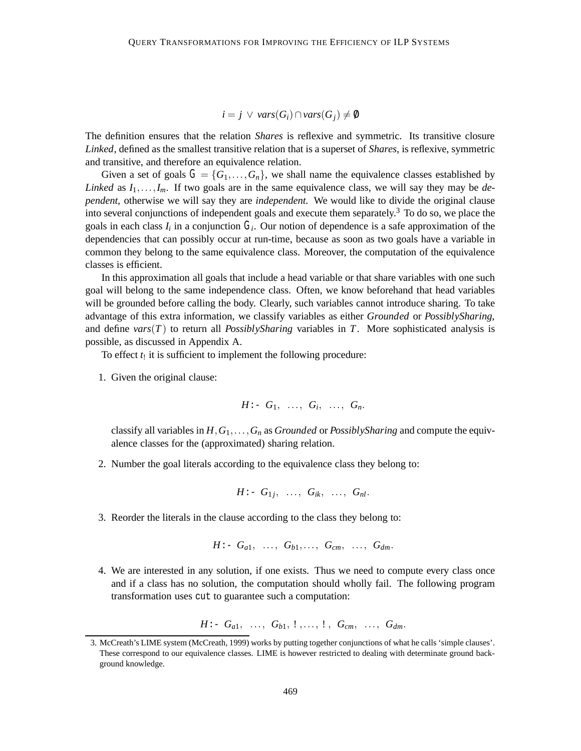## *i* = *j*  $\vee$  *vars*(*G<sub>i</sub>*) ∩ *vars*(*G<sub>i</sub>*)  $\neq$  0

The definition ensures that the relation *Shares* is reflexive and symmetric. Its transitive closure *Linked*, defined as the smallest transitive relation that is a superset of *Shares*, is reflexive, symmetric and transitive, and therefore an equivalence relation.

Given a set of goals  $G = \{G_1, \ldots, G_n\}$ , we shall name the equivalence classes established by *Linked* as  $I_1, \ldots, I_m$ . If two goals are in the same equivalence class, we will say they may be *dependent*, otherwise we will say they are *independent*. We would like to divide the original clause into several conjunctions of independent goals and execute them separately.<sup>3</sup> To do so, we place the goals in each class  $I_i$  in a conjunction  $G_i$ . Our notion of dependence is a safe approximation of the dependencies that can possibly occur at run-time, because as soon as two goals have a variable in common they belong to the same equivalence class. Moreover, the computation of the equivalence classes is efficient.

In this approximation all goals that include a head variable or that share variables with one such goal will belong to the same independence class. Often, we know beforehand that head variables will be grounded before calling the body. Clearly, such variables cannot introduce sharing. To take advantage of this extra information, we classify variables as either *Grounded* or *PossiblySharing*, and define  $vars(T)$  to return all *PossiblySharing* variables in *T*. More sophisticated analysis is possible, as discussed in Appendix A.

To effect  $t_1$  it is sufficient to implement the following procedure:

1. Given the original clause:

$$
H: G_1, \ldots, G_i, \ldots, G_n.
$$

classify all variables in  $H, G_1, \ldots, G_n$  as *Grounded* or *PossiblySharing* and compute the equivalence classes for the (approximated) sharing relation.

2. Number the goal literals according to the equivalence class they belong to:

$$
H: G_{1j}, \ldots, G_{ik}, \ldots, G_{nl}.
$$

3. Reorder the literals in the clause according to the class they belong to:

$$
H: G_{a1}, \ldots, G_{b1}, \ldots, G_{cm}, \ldots, G_{dm}.
$$

4. We are interested in any solution, if one exists. Thus we need to compute every class once and if a class has no solution, the computation should wholly fail. The following program transformation uses cut to guarantee such a computation:

$$
H: G_{a1}, \ldots, G_{b1}, 1, \ldots, 1, G_{cm}, \ldots, G_{dm}.
$$

<sup>3.</sup> McCreath's LIME system (McCreath, 1999) works by putting together conjunctions of what he calls 'simple clauses'. These correspond to our equivalence classes. LIME is however restricted to dealing with determinate ground background knowledge.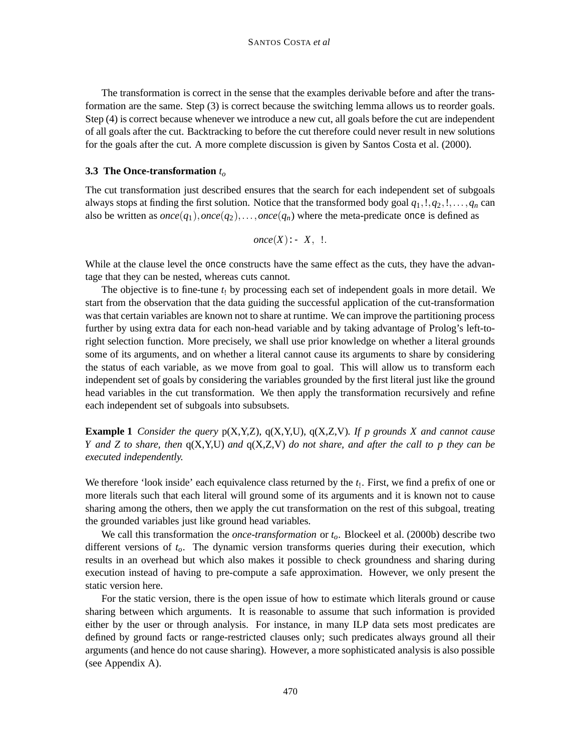The transformation is correct in the sense that the examples derivable before and after the transformation are the same. Step (3) is correct because the switching lemma allows us to reorder goals. Step (4) is correct because whenever we introduce a new cut, all goals before the cut are independent of all goals after the cut. Backtracking to before the cut therefore could never result in new solutions for the goals after the cut. A more complete discussion is given by Santos Costa et al. (2000).

#### **3.3 The Once-transformation** *to*

The cut transformation just described ensures that the search for each independent set of subgoals always stops at finding the first solution. Notice that the transformed body goal  $q_1, l, q_2, l, \ldots, q_n$  can also be written as  $once(q_1), once(q_2), \ldots, once(q_n)$  where the meta-predicate once is defined as

$$
once(X) \colon X, \_!\colon
$$

While at the clause level the once constructs have the same effect as the cuts, they have the advantage that they can be nested, whereas cuts cannot.

The objective is to fine-tune *t*! by processing each set of independent goals in more detail. We start from the observation that the data guiding the successful application of the cut-transformation was that certain variables are known not to share at runtime. We can improve the partitioning process further by using extra data for each non-head variable and by taking advantage of Prolog's left-toright selection function. More precisely, we shall use prior knowledge on whether a literal grounds some of its arguments, and on whether a literal cannot cause its arguments to share by considering the status of each variable, as we move from goal to goal. This will allow us to transform each independent set of goals by considering the variables grounded by the first literal just like the ground head variables in the cut transformation. We then apply the transformation recursively and refine each independent set of subgoals into subsubsets.

**Example 1** *Consider the query* p(X,Y,Z), q(X,Y,U), q(X,Z,V)*. If p grounds X and cannot cause Y and Z to share, then* q(X,Y,U) *and* q(X,Z,V) *do not share, and after the call to p they can be executed independently.*

We therefore 'look inside' each equivalence class returned by the *t*<sub>1</sub>. First, we find a prefix of one or more literals such that each literal will ground some of its arguments and it is known not to cause sharing among the others, then we apply the cut transformation on the rest of this subgoal, treating the grounded variables just like ground head variables.

We call this transformation the *once-transformation* or  $t<sub>o</sub>$ . Blockeel et al. (2000b) describe two different versions of *to*. The dynamic version transforms queries during their execution, which results in an overhead but which also makes it possible to check groundness and sharing during execution instead of having to pre-compute a safe approximation. However, we only present the static version here.

For the static version, there is the open issue of how to estimate which literals ground or cause sharing between which arguments. It is reasonable to assume that such information is provided either by the user or through analysis. For instance, in many ILP data sets most predicates are defined by ground facts or range-restricted clauses only; such predicates always ground all their arguments (and hence do not cause sharing). However, a more sophisticated analysis is also possible (see Appendix A).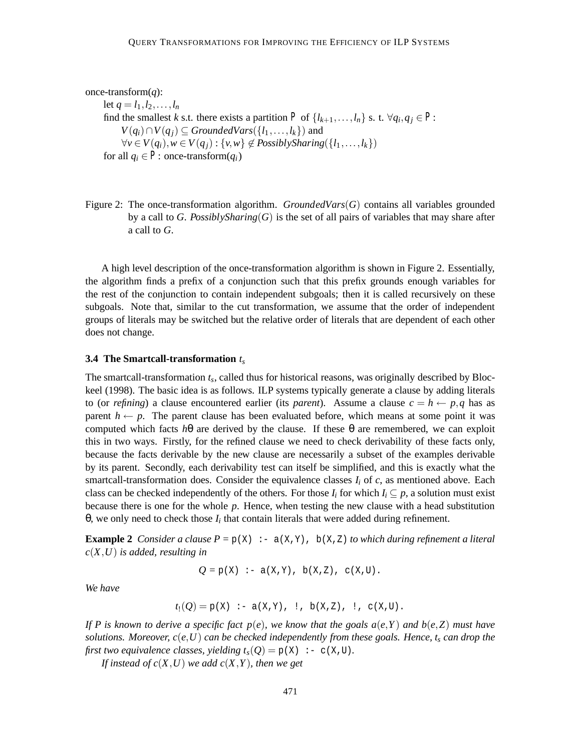```
once-transform(q):
```
let  $q = l_1, l_2, \ldots, l_n$ find the smallest *k* s.t. there exists a partition *P* of  $\{l_{k+1},...,l_n\}$  s. t.  $\forall q_i, q_j \in P$ : *V*(*q<sub>i</sub>*)∩*V*(*q<sub>j</sub>*) ⊆ *GroundedVars*({*l*<sub>1</sub>,...,*l<sub>k</sub>*}) and *∀v* ∈ *V*( $q_i$ ),  $w$  ∈ *V*( $q_j$ ) : {*v*,*w*} ∉ *PossiblySharing*({ $l_1$ ,..., $l_k$ }) for all  $q_i \in P$ : once-transform $(q_i)$ 

Figure 2: The once-transformation algorithm. *GroundedVars*(*G*) contains all variables grounded by a call to *G*. *PossiblySharing*(*G*) is the set of all pairs of variables that may share after a call to *G*.

A high level description of the once-transformation algorithm is shown in Figure 2. Essentially, the algorithm finds a prefix of a conjunction such that this prefix grounds enough variables for the rest of the conjunction to contain independent subgoals; then it is called recursively on these subgoals. Note that, similar to the cut transformation, we assume that the order of independent groups of literals may be switched but the relative order of literals that are dependent of each other does not change.

#### **3.4 The Smartcall-transformation** *ts*

The smartcall-transformation *ts*, called thus for historical reasons, was originally described by Blockeel (1998). The basic idea is as follows. ILP systems typically generate a clause by adding literals to (or *refining*) a clause encountered earlier (its *parent*). Assume a clause  $c = h \leftarrow p, q$  has as parent  $h \leftarrow p$ . The parent clause has been evaluated before, which means at some point it was computed which facts  $h\theta$  are derived by the clause. If these  $\theta$  are remembered, we can exploit this in two ways. Firstly, for the refined clause we need to check derivability of these facts only, because the facts derivable by the new clause are necessarily a subset of the examples derivable by its parent. Secondly, each derivability test can itself be simplified, and this is exactly what the smartcall-transformation does. Consider the equivalence classes  $I_i$  of  $c$ , as mentioned above. Each class can be checked independently of the others. For those  $I_i$  for which  $I_i \subseteq p$ , a solution must exist because there is one for the whole *p*. Hence, when testing the new clause with a head substitution θ, we only need to check those *Ii* that contain literals that were added during refinement.

**Example 2** *Consider a clause P* =  $p(X)$  :-  $a(X,Y)$ ,  $b(X,Z)$  *to which during refinement a literal c*(*X*,*U*) *is added, resulting in*

$$
Q = p(X) :- a(X,Y), b(X,Z), c(X,U).
$$

*We have*

$$
t_!(Q) = p(X) \; : -a(X,Y), \; : , b(X,Z), \; : , c(X,U).
$$

*If P is known to derive a specific fact p*(*e*)*, we know that the goals a*(*e*,*Y* ) *and b*(*e*,*Z*) *must have solutions. Moreover,*  $c(e, U)$  *can be checked independently from these goals. Hence,*  $t_s$  *can drop the first two equivalence classes, yielding*  $t_s(Q) = p(X)$  :- c(X,U).

*If instead of*  $c(X, U)$  *we add*  $c(X, Y)$ *, then we get*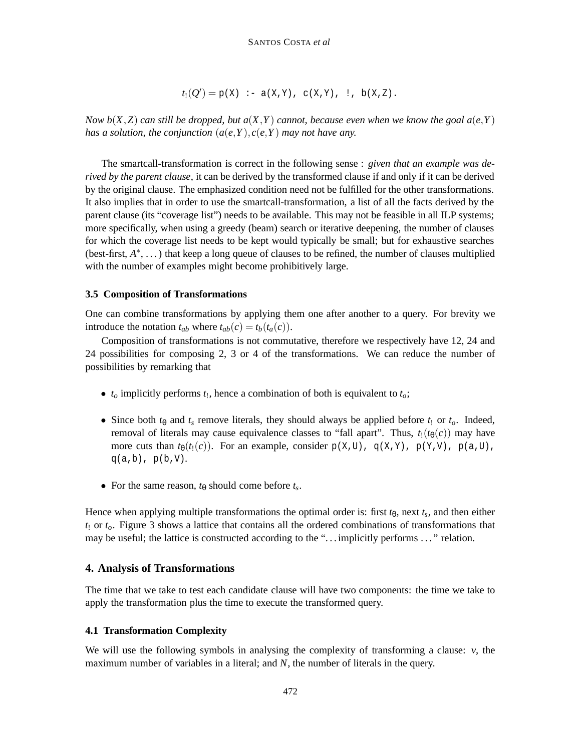$$
t_!(Q') = p(X) \div a(X,Y), c(X,Y), \cdot, b(X,Z).
$$

*Now b*( $X$ , $Z$ ) *can still be dropped, but a*( $X$ , $Y$ ) *cannot, because even when we know the goal a(e,Y) has a solution, the conjunction*  $(a(e, Y), c(e, Y))$  *may not have any.* 

The smartcall-transformation is correct in the following sense : *given that an example was derived by the parent clause*, it can be derived by the transformed clause if and only if it can be derived by the original clause. The emphasized condition need not be fulfilled for the other transformations. It also implies that in order to use the smartcall-transformation, a list of all the facts derived by the parent clause (its "coverage list") needs to be available. This may not be feasible in all ILP systems; more specifically, when using a greedy (beam) search or iterative deepening, the number of clauses for which the coverage list needs to be kept would typically be small; but for exhaustive searches (best-first, *A*∗, . . . ) that keep a long queue of clauses to be refined, the number of clauses multiplied with the number of examples might become prohibitively large.

#### **3.5 Composition of Transformations**

One can combine transformations by applying them one after another to a query. For brevity we introduce the notation  $t_{ab}$  where  $t_{ab}(c) = t_b(t_a(c))$ .

Composition of transformations is not commutative, therefore we respectively have 12, 24 and 24 possibilities for composing 2, 3 or 4 of the transformations. We can reduce the number of possibilities by remarking that

- $t_0$  implicitly performs  $t_1$ , hence a combination of both is equivalent to  $t_0$ ;
- Since both  $t_{\theta}$  and  $t_s$  remove literals, they should always be applied before  $t_1$  or  $t_o$ . Indeed, removal of literals may cause equivalence classes to "fall apart". Thus,  $t_1(t_\theta(c))$  may have more cuts than  $t_{\theta}(t_!(c))$ . For an example, consider  $p(X,U)$ ,  $q(X,Y)$ ,  $p(Y,V)$ ,  $p(a,U)$ ,  $q(a,b)$ ,  $p(b,V)$ .
- For the same reason,  $t_{\theta}$  should come before  $t_s$ .

Hence when applying multiple transformations the optimal order is: first  $t_{\theta}$ , next  $t_s$ , and then either *t*! or *to*. Figure 3 shows a lattice that contains all the ordered combinations of transformations that may be useful; the lattice is constructed according to the ". . . implicitly performs . . . " relation.

## **4. Analysis of Transformations**

The time that we take to test each candidate clause will have two components: the time we take to apply the transformation plus the time to execute the transformed query.

### **4.1 Transformation Complexity**

We will use the following symbols in analysing the complexity of transforming a clause: *v*, the maximum number of variables in a literal; and *N*, the number of literals in the query.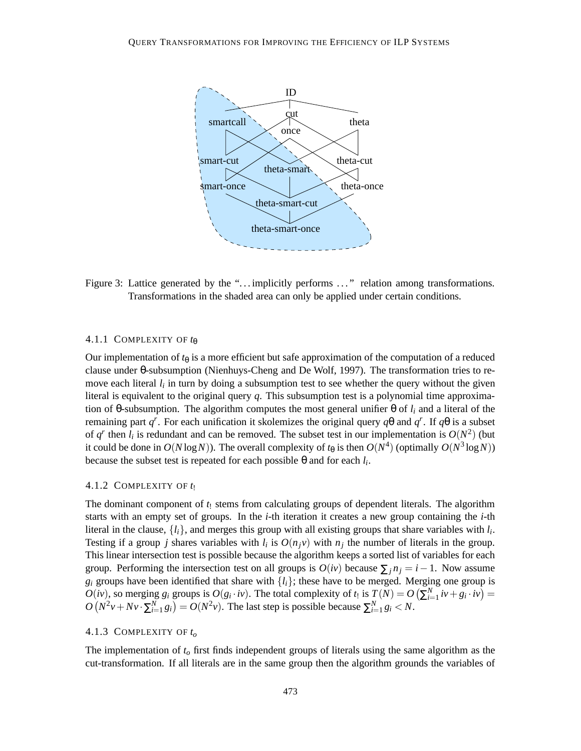

Figure 3: Lattice generated by the "... implicitly performs ..." relation among transformations. Transformations in the shaded area can only be applied under certain conditions.

#### 4.1.1 COMPLEXITY OF *t*<sup>θ</sup>

Our implementation of  $t_{\theta}$  is a more efficient but safe approximation of the computation of a reduced clause under θ-subsumption (Nienhuys-Cheng and De Wolf, 1997). The transformation tries to remove each literal  $l_i$  in turn by doing a subsumption test to see whether the query without the given literal is equivalent to the original query *q*. This subsumption test is a polynomial time approximation of θ-subsumption. The algorithm computes the most general unifier θ of  $l_i$  and a literal of the remaining part *qr* . For each unification it skolemizes the original query *q*θ and *qr* . If *q*θ is a subset of  $q^r$  then  $l_i$  is redundant and can be removed. The subset test in our implementation is  $O(N^2)$  (but it could be done in  $O(N \log N)$ ). The overall complexity of  $t_{\theta}$  is then  $O(N^4)$  (optimally  $O(N^3 \log N)$ ) because the subset test is repeated for each possible θ and for each *li*.

#### 4.1.2 COMPLEXITY OF *t*!

The dominant component of  $t_1$  stems from calculating groups of dependent literals. The algorithm starts with an empty set of groups. In the *i*-th iteration it creates a new group containing the *i*-th literal in the clause,  $\{l_i\}$ , and merges this group with all existing groups that share variables with  $l_i$ . Testing if a group *j* shares variables with  $l_i$  is  $O(n_i v)$  with  $n_i$  the number of literals in the group. This linear intersection test is possible because the algorithm keeps a sorted list of variables for each group. Performing the intersection test on all groups is  $O(iv)$  because  $\sum_{i} n_i = i - 1$ . Now assume  $g_i$  groups have been identified that share with  $\{l_i\}$ ; these have to be merged. Merging one group is  $O(iv)$ , so merging  $g_i$  groups is  $O(g_i \cdot iv)$ . The total complexity of  $t_1$  is  $T(N) = O\left(\sum_{i=1}^N iv + g_i \cdot iv\right) =$  $O(N^2v + Nv \cdot \sum_{i=1}^{N} g_i) = O(N^2v)$ . The last step is possible because  $\sum_{i=1}^{N} g_i < N$ .

### 4.1.3 COMPLEXITY OF *to*

The implementation of *to* first finds independent groups of literals using the same algorithm as the cut-transformation. If all literals are in the same group then the algorithm grounds the variables of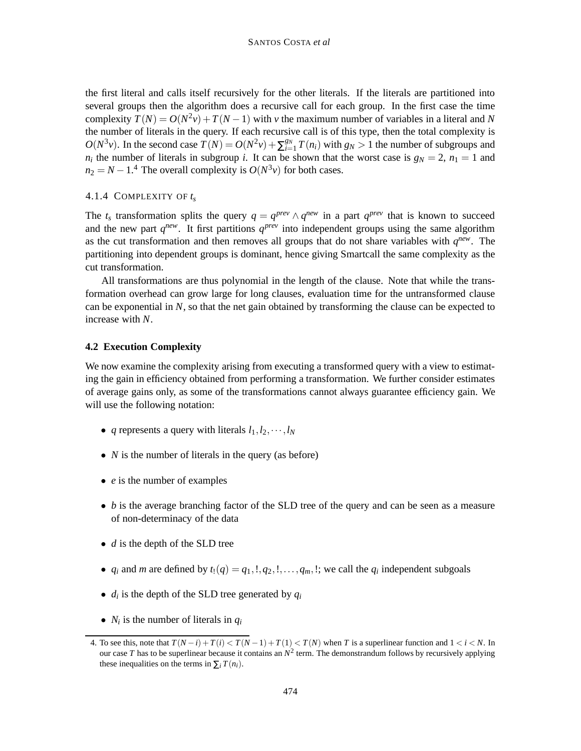the first literal and calls itself recursively for the other literals. If the literals are partitioned into several groups then the algorithm does a recursive call for each group. In the first case the time complexity  $T(N) = O(N^2v) + T(N-1)$  with *v* the maximum number of variables in a literal and N the number of literals in the query. If each recursive call is of this type, then the total complexity is  $O(N^3v)$ . In the second case  $T(N) = O(N^2v) + \sum_{i=1}^{g_N} T(n_i)$  with  $g_N > 1$  the number of subgroups and  $n_i$  the number of literals in subgroup *i*. It can be shown that the worst case is  $g_N = 2$ ,  $n_1 = 1$  and  $n_2 = N - 1$ <sup>4</sup> The overall complexity is  $O(N^3v)$  for both cases.

### 4.1.4 COMPLEXITY OF *ts*

The  $t_s$  transformation splits the query  $q = q^{prev} \wedge q^{new}$  in a part  $q^{prev}$  that is known to succeed and the new part  $q^{new}$ . It first partitions  $q^{prev}$  into independent groups using the same algorithm as the cut transformation and then removes all groups that do not share variables with  $q^{new}$ . The partitioning into dependent groups is dominant, hence giving Smartcall the same complexity as the cut transformation.

All transformations are thus polynomial in the length of the clause. Note that while the transformation overhead can grow large for long clauses, evaluation time for the untransformed clause can be exponential in *N*, so that the net gain obtained by transforming the clause can be expected to increase with *N*.

### **4.2 Execution Complexity**

We now examine the complexity arising from executing a transformed query with a view to estimating the gain in efficiency obtained from performing a transformation. We further consider estimates of average gains only, as some of the transformations cannot always guarantee efficiency gain. We will use the following notation:

- *q* represents a query with literals  $l_1, l_2, \dots, l_N$
- *N* is the number of literals in the query (as before)
- *e* is the number of examples
- *b* is the average branching factor of the SLD tree of the query and can be seen as a measure of non-determinacy of the data
- *d* is the depth of the SLD tree
- $q_i$  and *m* are defined by  $t_1(q) = q_1, 1, q_2, 1, \ldots, q_m$ , !; we call the  $q_i$  independent subgoals
- $\bullet$  *d<sub>i</sub>* is the depth of the SLD tree generated by  $q_i$
- $N_i$  is the number of literals in  $q_i$

<sup>4.</sup> To see this, note that  $T(N - i) + T(i) < T(N - 1) + T(1) < T(N)$  when *T* is a superlinear function and  $1 < i < N$ . In our case *T* has to be superlinear because it contains an  $N^2$  term. The demonstrandum follows by recursively applying these inequalities on the terms in  $\sum_i T(n_i)$ .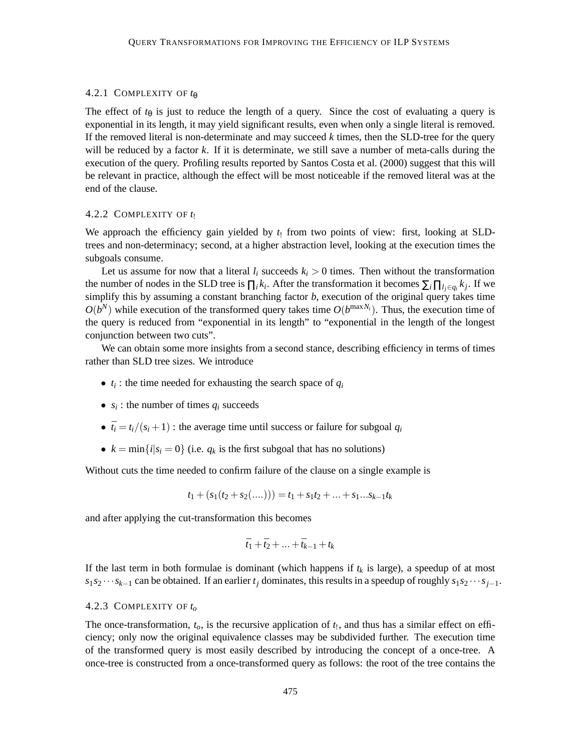#### 4.2.1 COMPLEXITY OF *t*<sup>θ</sup>

The effect of  $t_{\theta}$  is just to reduce the length of a query. Since the cost of evaluating a query is exponential in its length, it may yield significant results, even when only a single literal is removed. If the removed literal is non-determinate and may succeed *k* times, then the SLD-tree for the query will be reduced by a factor *k*. If it is determinate, we still save a number of meta-calls during the execution of the query. Profiling results reported by Santos Costa et al. (2000) suggest that this will be relevant in practice, although the effect will be most noticeable if the removed literal was at the end of the clause.

### 4.2.2 COMPLEXITY OF *t*!

We approach the efficiency gain yielded by  $t_1$  from two points of view: first, looking at SLDtrees and non-determinacy; second, at a higher abstraction level, looking at the execution times the subgoals consume.

Let us assume for now that a literal  $l_i$  succeeds  $k_i > 0$  times. Then without the transformation the number of nodes in the SLD tree is  $\prod_i k_i$ . After the transformation it becomes  $\sum_i \prod_{i \in q_i} k_i$ . If we simplify this by assuming a constant branching factor *b*, execution of the original query takes time  $O(b^N)$  while execution of the transformed query takes time  $O(b^{\max N_i})$ . Thus, the execution time of the query is reduced from "exponential in its length" to "exponential in the length of the longest conjunction between two cuts".

We can obtain some more insights from a second stance, describing efficiency in terms of times rather than SLD tree sizes. We introduce

- $\bullet$   $t_i$ : the time needed for exhausting the search space of  $q_i$
- $s_i$ : the number of times  $q_i$  succeeds
- $\bar{t}_i = t_i/(s_i + 1)$ : the average time until success or failure for subgoal  $q_i$
- $k = \min\{i|s_i = 0\}$  (i.e.  $q_k$  is the first subgoal that has no solutions)

Without cuts the time needed to confirm failure of the clause on a single example is

$$
t_1 + (s_1(t_2 + s_2(...))) = t_1 + s_1t_2 + ... + s_1...s_{k-1}t_k
$$

and after applying the cut-transformation this becomes

$$
\bar{t}_1 + \bar{t}_2 + \ldots + \bar{t}_{k-1} + t_k
$$

If the last term in both formulae is dominant (which happens if  $t_k$  is large), a speedup of at most  $s_1 s_2 \cdots s_{k-1}$  can be obtained. If an earlier  $t_j$  dominates, this results in a speedup of roughly  $s_1 s_2 \cdots s_{j-1}$ .

### 4.2.3 COMPLEXITY OF *to*

The once-transformation,  $t_0$ , is the recursive application of  $t_1$ , and thus has a similar effect on efficiency; only now the original equivalence classes may be subdivided further. The execution time of the transformed query is most easily described by introducing the concept of a once-tree. A once-tree is constructed from a once-transformed query as follows: the root of the tree contains the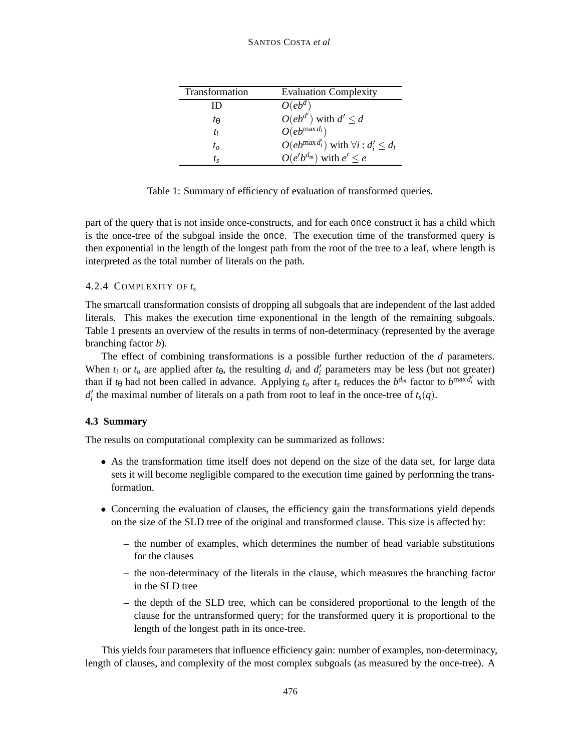### SANTOS COSTA *et al*

| Transformation | <b>Evaluation Complexity</b>                         |
|----------------|------------------------------------------------------|
| ID             | $O(e^{d})$                                           |
| tθ             | $O(e^{d'})$ with $d' \leq d$                         |
| t١             | $O(e^{(\max d_i}))$                                  |
| $t_o$          | $O(eb^{\max d'_i})$ with $\forall i : d'_i \leq d_i$ |
| t ç            | $O(e'b^{d_m})$ with $e' \leq e$                      |

Table 1: Summary of efficiency of evaluation of transformed queries.

part of the query that is not inside once-constructs, and for each once construct it has a child which is the once-tree of the subgoal inside the once. The execution time of the transformed query is then exponential in the length of the longest path from the root of the tree to a leaf, where length is interpreted as the total number of literals on the path.

## 4.2.4 COMPLEXITY OF *ts*

The smartcall transformation consists of dropping all subgoals that are independent of the last added literals. This makes the execution time exponentional in the length of the remaining subgoals. Table 1 presents an overview of the results in terms of non-determinacy (represented by the average branching factor *b*).

The effect of combining transformations is a possible further reduction of the *d* parameters. When  $t_1$  or  $t_0$  are applied after  $t_{\theta}$ , the resulting  $d_i$  and  $d'_i$  parameters may be less (but not greater) than if  $t_\theta$  had not been called in advance. Applying  $t_o$  after  $t_s$  reduces the  $b^{d_m}$  factor to  $b^{\max d'_i}$  with  $d_i$ <sup>*t*</sup> the maximal number of literals on a path from root to leaf in the once-tree of  $t_s(q)$ .

## **4.3 Summary**

The results on computational complexity can be summarized as follows:

- As the transformation time itself does not depend on the size of the data set, for large data sets it will become negligible compared to the execution time gained by performing the transformation.
- Concerning the evaluation of clauses, the efficiency gain the transformations yield depends on the size of the SLD tree of the original and transformed clause. This size is affected by:
	- **–** the number of examples, which determines the number of head variable substitutions for the clauses
	- **–** the non-determinacy of the literals in the clause, which measures the branching factor in the SLD tree
	- **–** the depth of the SLD tree, which can be considered proportional to the length of the clause for the untransformed query; for the transformed query it is proportional to the length of the longest path in its once-tree.

This yields four parameters that influence efficiency gain: number of examples, non-determinacy, length of clauses, and complexity of the most complex subgoals (as measured by the once-tree). A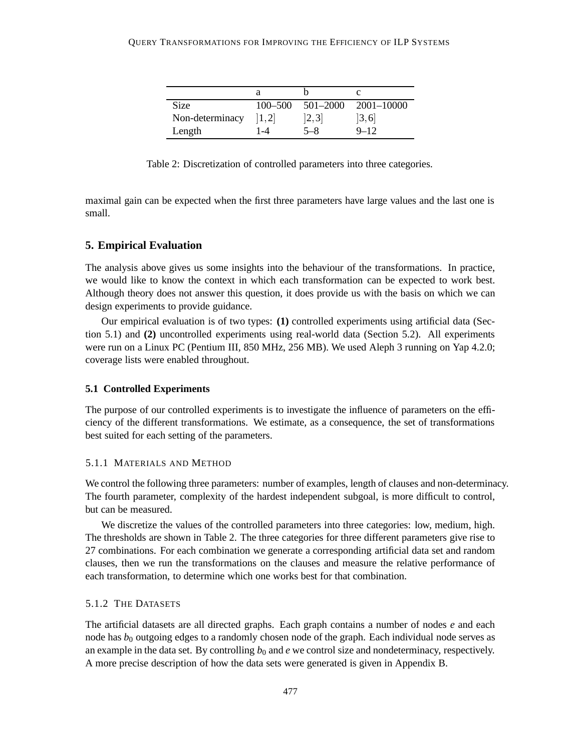| Size            | $100 - 500$ | $501 - 2000$ | $2001 - 10000$ |
|-----------------|-------------|--------------|----------------|
| Non-determinacy | [1,2]       | [2,3]        | [3, 6]         |
| Length          | 1-4         | 5 $-8$       | $9 - 12$       |

Table 2: Discretization of controlled parameters into three categories.

maximal gain can be expected when the first three parameters have large values and the last one is small.

### **5. Empirical Evaluation**

The analysis above gives us some insights into the behaviour of the transformations. In practice, we would like to know the context in which each transformation can be expected to work best. Although theory does not answer this question, it does provide us with the basis on which we can design experiments to provide guidance.

Our empirical evaluation is of two types: **(1)** controlled experiments using artificial data (Section 5.1) and **(2)** uncontrolled experiments using real-world data (Section 5.2). All experiments were run on a Linux PC (Pentium III, 850 MHz, 256 MB). We used Aleph 3 running on Yap 4.2.0; coverage lists were enabled throughout.

#### **5.1 Controlled Experiments**

The purpose of our controlled experiments is to investigate the influence of parameters on the efficiency of the different transformations. We estimate, as a consequence, the set of transformations best suited for each setting of the parameters.

### 5.1.1 MATERIALS AND METHOD

We control the following three parameters: number of examples, length of clauses and non-determinacy. The fourth parameter, complexity of the hardest independent subgoal, is more difficult to control, but can be measured.

We discretize the values of the controlled parameters into three categories: low, medium, high. The thresholds are shown in Table 2. The three categories for three different parameters give rise to 27 combinations. For each combination we generate a corresponding artificial data set and random clauses, then we run the transformations on the clauses and measure the relative performance of each transformation, to determine which one works best for that combination.

### 5.1.2 THE DATASETS

The artificial datasets are all directed graphs. Each graph contains a number of nodes *e* and each node has  $b_0$  outgoing edges to a randomly chosen node of the graph. Each individual node serves as an example in the data set. By controlling  $b_0$  and *e* we control size and nondeterminacy, respectively. A more precise description of how the data sets were generated is given in Appendix B.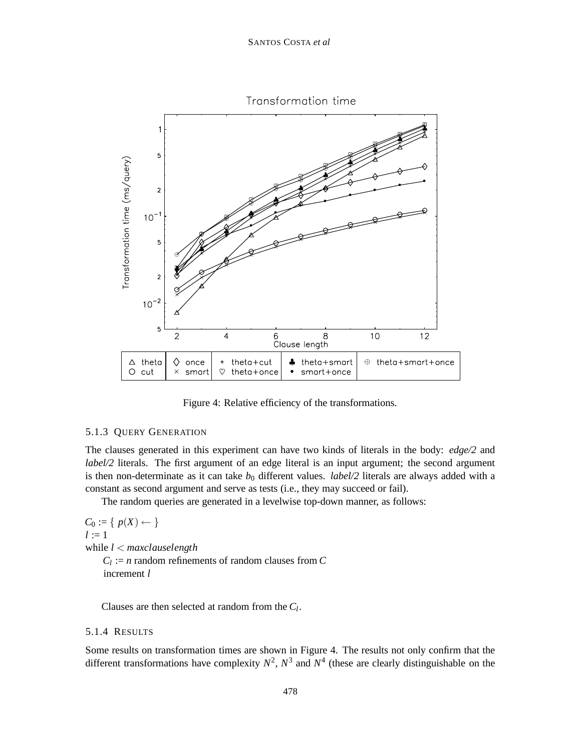

Figure 4: Relative efficiency of the transformations.

#### 5.1.3 QUERY GENERATION

The clauses generated in this experiment can have two kinds of literals in the body: *edge/2* and *label/2* literals. The first argument of an edge literal is an input argument; the second argument is then non-determinate as it can take  $b_0$  different values. *label/2* literals are always added with a constant as second argument and serve as tests (i.e., they may succeed or fail).

The random queries are generated in a levelwise top-down manner, as follows:

 $C_0 := \{ p(X) \leftarrow \}$  $l := 1$ while *l* < *maxclauselength*  $C_l := n$  random refinements of random clauses from  $C$ increment *l*

Clauses are then selected at random from the *Cl*.

## 5.1.4 RESULTS

Some results on transformation times are shown in Figure 4. The results not only confirm that the different transformations have complexity  $N^2$ ,  $N^3$  and  $N^4$  (these are clearly distinguishable on the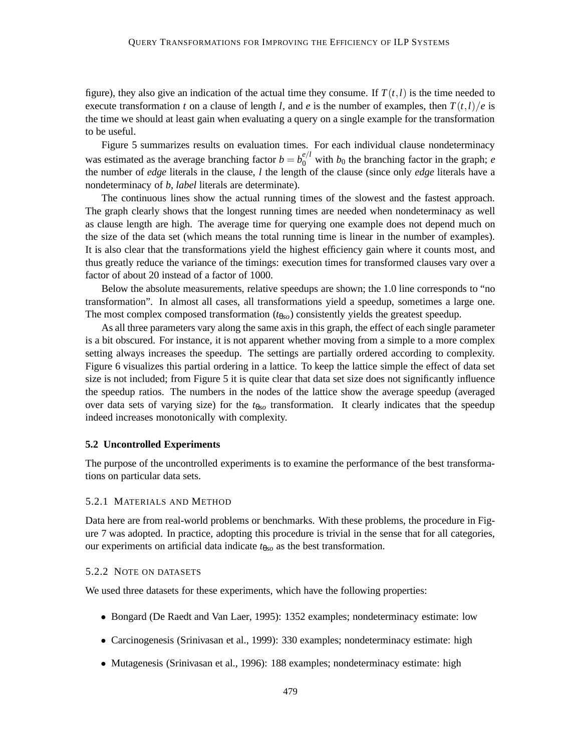figure), they also give an indication of the actual time they consume. If  $T(t, l)$  is the time needed to execute transformation *t* on a clause of length *l*, and *e* is the number of examples, then  $T(t, l)/e$  is the time we should at least gain when evaluating a query on a single example for the transformation to be useful.

Figure 5 summarizes results on evaluation times. For each individual clause nondeterminacy was estimated as the average branching factor  $b = b_0^{e/l}$  with  $b_0$  the branching factor in the graph; *e* the number of *edge* literals in the clause, *l* the length of the clause (since only *edge* literals have a nondeterminacy of *b*, *label* literals are determinate).

The continuous lines show the actual running times of the slowest and the fastest approach. The graph clearly shows that the longest running times are needed when nondeterminacy as well as clause length are high. The average time for querying one example does not depend much on the size of the data set (which means the total running time is linear in the number of examples). It is also clear that the transformations yield the highest efficiency gain where it counts most, and thus greatly reduce the variance of the timings: execution times for transformed clauses vary over a factor of about 20 instead of a factor of 1000.

Below the absolute measurements, relative speedups are shown; the 1.0 line corresponds to "no transformation". In almost all cases, all transformations yield a speedup, sometimes a large one. The most complex composed transformation ( $t_{\theta so}$ ) consistently yields the greatest speedup.

As all three parameters vary along the same axis in this graph, the effect of each single parameter is a bit obscured. For instance, it is not apparent whether moving from a simple to a more complex setting always increases the speedup. The settings are partially ordered according to complexity. Figure 6 visualizes this partial ordering in a lattice. To keep the lattice simple the effect of data set size is not included; from Figure 5 it is quite clear that data set size does not significantly influence the speedup ratios. The numbers in the nodes of the lattice show the average speedup (averaged over data sets of varying size) for the *t*θ*so* transformation. It clearly indicates that the speedup indeed increases monotonically with complexity.

#### **5.2 Uncontrolled Experiments**

The purpose of the uncontrolled experiments is to examine the performance of the best transformations on particular data sets.

#### 5.2.1 MATERIALS AND METHOD

Data here are from real-world problems or benchmarks. With these problems, the procedure in Figure 7 was adopted. In practice, adopting this procedure is trivial in the sense that for all categories, our experiments on artificial data indicate *t*θ*so* as the best transformation.

#### 5.2.2 NOTE ON DATASETS

We used three datasets for these experiments, which have the following properties:

- Bongard (De Raedt and Van Laer, 1995): 1352 examples; nondeterminacy estimate: low
- Carcinogenesis (Srinivasan et al., 1999): 330 examples; nondeterminacy estimate: high
- Mutagenesis (Srinivasan et al., 1996): 188 examples; nondeterminacy estimate: high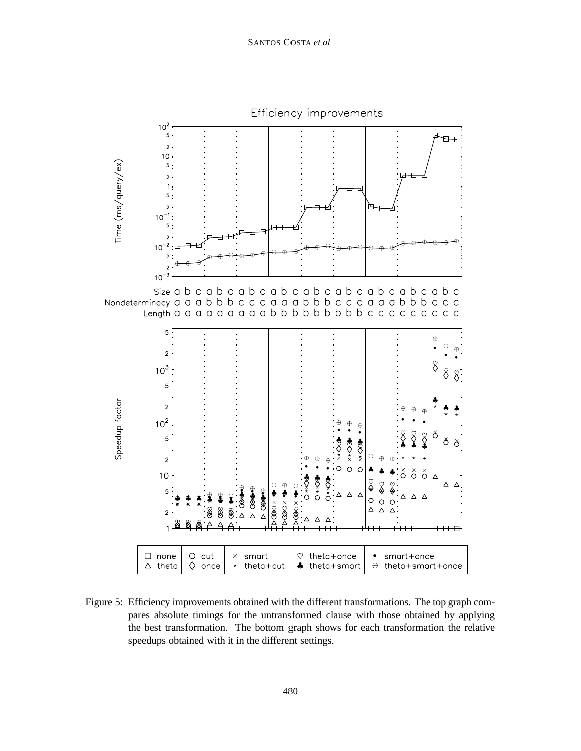

Figure 5: Efficiency improvements obtained with the different transformations. The top graph compares absolute timings for the untransformed clause with those obtained by applying the best transformation. The bottom graph shows for each transformation the relative speedups obtained with it in the different settings.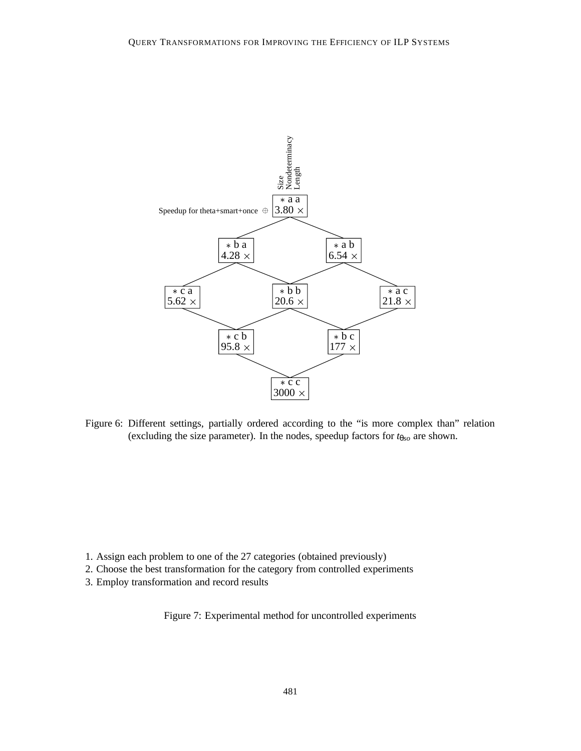

Figure 6: Different settings, partially ordered according to the "is more complex than" relation (excluding the size parameter). In the nodes, speedup factors for *t*θ*so* are shown.

- 1. Assign each problem to one of the 27 categories (obtained previously)
- 2. Choose the best transformation for the category from controlled experiments
- 3. Employ transformation and record results

Figure 7: Experimental method for uncontrolled experiments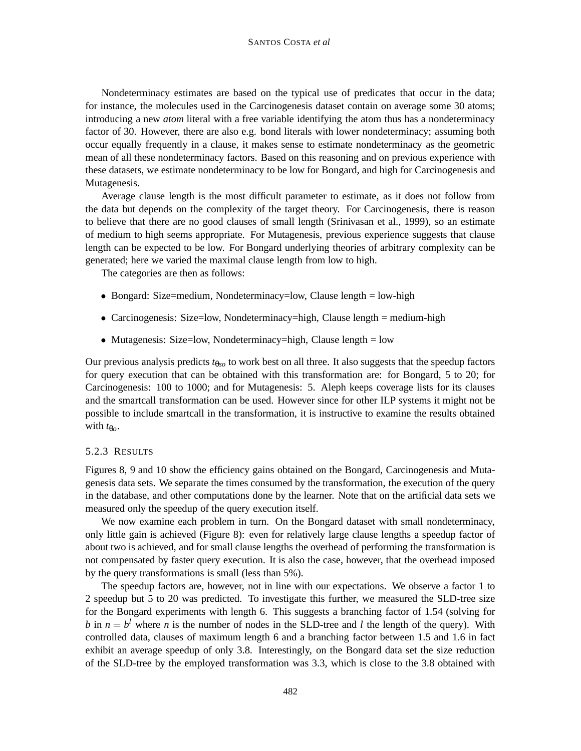Nondeterminacy estimates are based on the typical use of predicates that occur in the data; for instance, the molecules used in the Carcinogenesis dataset contain on average some 30 atoms; introducing a new *atom* literal with a free variable identifying the atom thus has a nondeterminacy factor of 30. However, there are also e.g. bond literals with lower nondeterminacy; assuming both occur equally frequently in a clause, it makes sense to estimate nondeterminacy as the geometric mean of all these nondeterminacy factors. Based on this reasoning and on previous experience with these datasets, we estimate nondeterminacy to be low for Bongard, and high for Carcinogenesis and Mutagenesis.

Average clause length is the most difficult parameter to estimate, as it does not follow from the data but depends on the complexity of the target theory. For Carcinogenesis, there is reason to believe that there are no good clauses of small length (Srinivasan et al., 1999), so an estimate of medium to high seems appropriate. For Mutagenesis, previous experience suggests that clause length can be expected to be low. For Bongard underlying theories of arbitrary complexity can be generated; here we varied the maximal clause length from low to high.

The categories are then as follows:

- Bongard: Size=medium, Nondeterminacy=low, Clause length = low-high
- Carcinogenesis: Size=low, Nondeterminacy=high, Clause length = medium-high
- Mutagenesis: Size=low, Nondeterminacy=high, Clause length = low

Our previous analysis predicts *t*θ*so* to work best on all three. It also suggests that the speedup factors for query execution that can be obtained with this transformation are: for Bongard, 5 to 20; for Carcinogenesis: 100 to 1000; and for Mutagenesis: 5. Aleph keeps coverage lists for its clauses and the smartcall transformation can be used. However since for other ILP systems it might not be possible to include smartcall in the transformation, it is instructive to examine the results obtained with  $t_{\theta o}$ .

### 5.2.3 RESULTS

Figures 8, 9 and 10 show the efficiency gains obtained on the Bongard, Carcinogenesis and Mutagenesis data sets. We separate the times consumed by the transformation, the execution of the query in the database, and other computations done by the learner. Note that on the artificial data sets we measured only the speedup of the query execution itself.

We now examine each problem in turn. On the Bongard dataset with small nondeterminacy, only little gain is achieved (Figure 8): even for relatively large clause lengths a speedup factor of about two is achieved, and for small clause lengths the overhead of performing the transformation is not compensated by faster query execution. It is also the case, however, that the overhead imposed by the query transformations is small (less than 5%).

The speedup factors are, however, not in line with our expectations. We observe a factor 1 to 2 speedup but 5 to 20 was predicted. To investigate this further, we measured the SLD-tree size for the Bongard experiments with length 6. This suggests a branching factor of 1.54 (solving for *b* in  $n = b^l$  where *n* is the number of nodes in the SLD-tree and *l* the length of the query). With controlled data, clauses of maximum length 6 and a branching factor between 1.5 and 1.6 in fact exhibit an average speedup of only 3.8. Interestingly, on the Bongard data set the size reduction of the SLD-tree by the employed transformation was 3.3, which is close to the 3.8 obtained with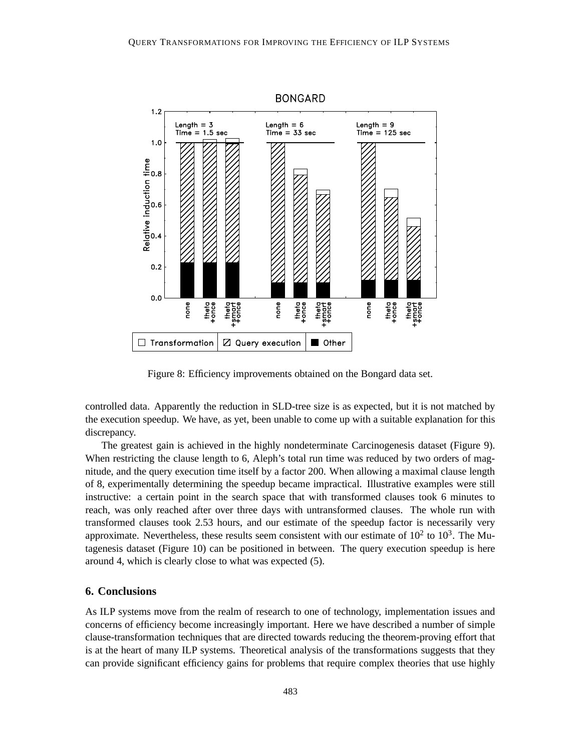

Figure 8: Efficiency improvements obtained on the Bongard data set.

controlled data. Apparently the reduction in SLD-tree size is as expected, but it is not matched by the execution speedup. We have, as yet, been unable to come up with a suitable explanation for this discrepancy.

The greatest gain is achieved in the highly nondeterminate Carcinogenesis dataset (Figure 9). When restricting the clause length to 6, Aleph's total run time was reduced by two orders of magnitude, and the query execution time itself by a factor 200. When allowing a maximal clause length of 8, experimentally determining the speedup became impractical. Illustrative examples were still instructive: a certain point in the search space that with transformed clauses took 6 minutes to reach, was only reached after over three days with untransformed clauses. The whole run with transformed clauses took 2.53 hours, and our estimate of the speedup factor is necessarily very approximate. Nevertheless, these results seem consistent with our estimate of  $10^2$  to  $10^3$ . The Mutagenesis dataset (Figure 10) can be positioned in between. The query execution speedup is here around 4, which is clearly close to what was expected (5).

## **6. Conclusions**

As ILP systems move from the realm of research to one of technology, implementation issues and concerns of efficiency become increasingly important. Here we have described a number of simple clause-transformation techniques that are directed towards reducing the theorem-proving effort that is at the heart of many ILP systems. Theoretical analysis of the transformations suggests that they can provide significant efficiency gains for problems that require complex theories that use highly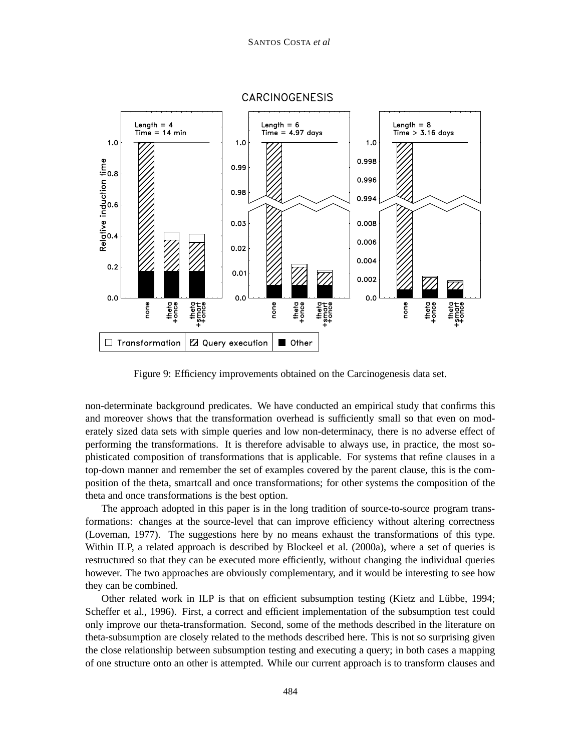

**CARCINOGENESIS** 

Figure 9: Efficiency improvements obtained on the Carcinogenesis data set.

non-determinate background predicates. We have conducted an empirical study that confirms this and moreover shows that the transformation overhead is sufficiently small so that even on moderately sized data sets with simple queries and low non-determinacy, there is no adverse effect of performing the transformations. It is therefore advisable to always use, in practice, the most sophisticated composition of transformations that is applicable. For systems that refine clauses in a top-down manner and remember the set of examples covered by the parent clause, this is the composition of the theta, smartcall and once transformations; for other systems the composition of the theta and once transformations is the best option.

The approach adopted in this paper is in the long tradition of source-to-source program transformations: changes at the source-level that can improve efficiency without altering correctness (Loveman, 1977). The suggestions here by no means exhaust the transformations of this type. Within ILP, a related approach is described by Blockeel et al. (2000a), where a set of queries is restructured so that they can be executed more efficiently, without changing the individual queries however. The two approaches are obviously complementary, and it would be interesting to see how they can be combined.

Other related work in ILP is that on efficient subsumption testing (Kietz and Lübbe, 1994; Scheffer et al., 1996). First, a correct and efficient implementation of the subsumption test could only improve our theta-transformation. Second, some of the methods described in the literature on theta-subsumption are closely related to the methods described here. This is not so surprising given the close relationship between subsumption testing and executing a query; in both cases a mapping of one structure onto an other is attempted. While our current approach is to transform clauses and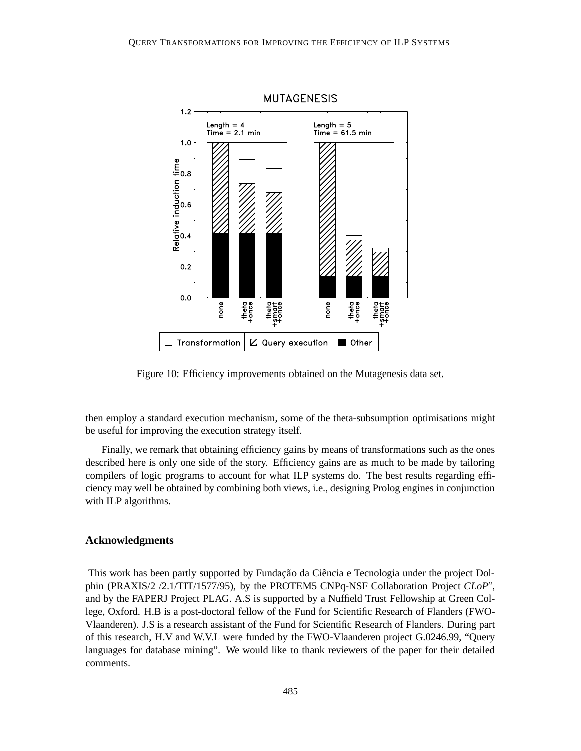

Figure 10: Efficiency improvements obtained on the Mutagenesis data set.

then employ a standard execution mechanism, some of the theta-subsumption optimisations might be useful for improving the execution strategy itself.

Finally, we remark that obtaining efficiency gains by means of transformations such as the ones described here is only one side of the story. Efficiency gains are as much to be made by tailoring compilers of logic programs to account for what ILP systems do. The best results regarding efficiency may well be obtained by combining both views, i.e., designing Prolog engines in conjunction with ILP algorithms.

#### **Acknowledgments**

This work has been partly supported by Fundação da Ciência e Tecnologia under the project Dolphin (PRAXIS/2 /2.1/TIT/1577/95), by the PROTEM5 CNPq-NSF Collaboration Project *CLoPn*, and by the FAPERJ Project PLAG. A.S is supported by a Nuffield Trust Fellowship at Green College, Oxford. H.B is a post-doctoral fellow of the Fund for Scientific Research of Flanders (FWO-Vlaanderen). J.S is a research assistant of the Fund for Scientific Research of Flanders. During part of this research, H.V and W.V.L were funded by the FWO-Vlaanderen project G.0246.99, "Query languages for database mining". We would like to thank reviewers of the paper for their detailed comments.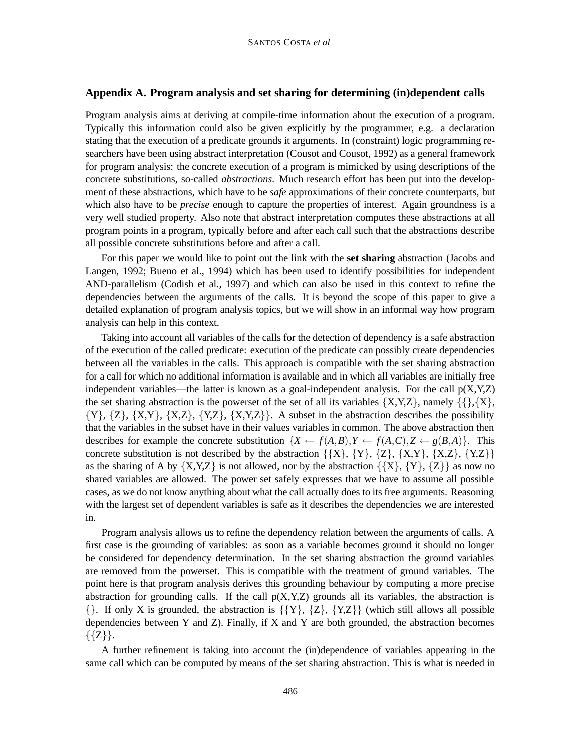### **Appendix A. Program analysis and set sharing for determining (in)dependent calls**

Program analysis aims at deriving at compile-time information about the execution of a program. Typically this information could also be given explicitly by the programmer, e.g. a declaration stating that the execution of a predicate grounds it arguments. In (constraint) logic programming researchers have been using abstract interpretation (Cousot and Cousot, 1992) as a general framework for program analysis: the concrete execution of a program is mimicked by using descriptions of the concrete substitutions, so-called *abstractions*. Much research effort has been put into the development of these abstractions, which have to be *safe* approximations of their concrete counterparts, but which also have to be *precise* enough to capture the properties of interest. Again groundness is a very well studied property. Also note that abstract interpretation computes these abstractions at all program points in a program, typically before and after each call such that the abstractions describe all possible concrete substitutions before and after a call.

For this paper we would like to point out the link with the **set sharing** abstraction (Jacobs and Langen, 1992; Bueno et al., 1994) which has been used to identify possibilities for independent AND-parallelism (Codish et al., 1997) and which can also be used in this context to refine the dependencies between the arguments of the calls. It is beyond the scope of this paper to give a detailed explanation of program analysis topics, but we will show in an informal way how program analysis can help in this context.

Taking into account all variables of the calls for the detection of dependency is a safe abstraction of the execution of the called predicate: execution of the predicate can possibly create dependencies between all the variables in the calls. This approach is compatible with the set sharing abstraction for a call for which no additional information is available and in which all variables are initially free independent variables—the latter is known as a goal-independent analysis. For the call  $p(X, Y, Z)$ the set sharing abstraction is the powerset of the set of all its variables  $\{X, Y, Z\}$ , namely  $\{\{\}, \{X\},\}$  $\{Y\}, \{Z\}, \{X,Y\}, \{X,Z\}, \{Y,Z\}, \{X,Y,Z\}\}.$  A subset in the abstraction describes the possibility that the variables in the subset have in their values variables in common. The above abstraction then describes for example the concrete substitution  $\{X \leftarrow f(A,B), Y \leftarrow f(A,C), Z \leftarrow g(B,A)\}\$ . This concrete substitution is not described by the abstraction  $\{\{X\}, \{Y\}, \{Z\}, \{X,Y\}, \{X,Z\}, \{Y,Z\}\}\$ as the sharing of A by  $\{X,Y,Z\}$  is not allowed, nor by the abstraction  $\{\{X\}, \{Y\}, \{Z\}\}$  as now no shared variables are allowed. The power set safely expresses that we have to assume all possible cases, as we do not know anything about what the call actually does to its free arguments. Reasoning with the largest set of dependent variables is safe as it describes the dependencies we are interested in.

Program analysis allows us to refine the dependency relation between the arguments of calls. A first case is the grounding of variables: as soon as a variable becomes ground it should no longer be considered for dependency determination. In the set sharing abstraction the ground variables are removed from the powerset. This is compatible with the treatment of ground variables. The point here is that program analysis derives this grounding behaviour by computing a more precise abstraction for grounding calls. If the call  $p(X, Y, Z)$  grounds all its variables, the abstraction is  $\{\}$ . If only X is grounded, the abstraction is  $\{\{Y\}, \{Z\}, \{Y,Z\}\}\$  (which still allows all possible dependencies between Y and Z). Finally, if X and Y are both grounded, the abstraction becomes  $\{\{Z\}\}.$ 

A further refinement is taking into account the (in)dependence of variables appearing in the same call which can be computed by means of the set sharing abstraction. This is what is needed in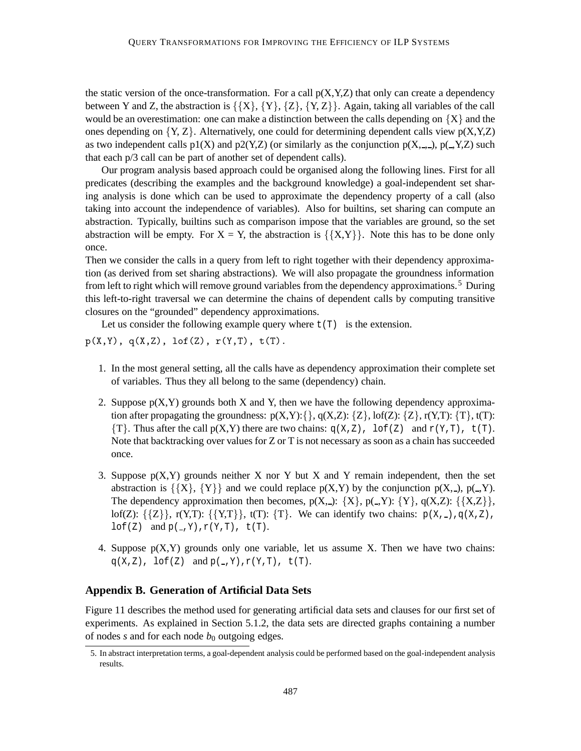the static version of the once-transformation. For a call  $p(X, Y, Z)$  that only can create a dependency between Y and Z, the abstraction is  $\{X\}, \{Y\}, \{Z\}, \{Y, Z\}$ . Again, taking all variables of the call would be an overestimation: one can make a distinction between the calls depending on  ${X}$  and the ones depending on  $\{Y, Z\}$ . Alternatively, one could for determining dependent calls view  $p(X, Y, Z)$ as two independent calls  $p1(X)$  and  $p2(Y,Z)$  (or similarly as the conjunction  $p(X, \_,\_)$ ,  $p(\_,\ Y, Z)$  such that each p/3 call can be part of another set of dependent calls).

Our program analysis based approach could be organised along the following lines. First for all predicates (describing the examples and the background knowledge) a goal-independent set sharing analysis is done which can be used to approximate the dependency property of a call (also taking into account the independence of variables). Also for builtins, set sharing can compute an abstraction. Typically, builtins such as comparison impose that the variables are ground, so the set abstraction will be empty. For  $X = Y$ , the abstraction is  $\{\{X,Y\}\}\)$ . Note this has to be done only once.

Then we consider the calls in a query from left to right together with their dependency approximation (as derived from set sharing abstractions). We will also propagate the groundness information from left to right which will remove ground variables from the dependency approximations.<sup>5</sup> During this left-to-right traversal we can determine the chains of dependent calls by computing transitive closures on the "grounded" dependency approximations.

Let us consider the following example query where  $t(T)$  is the extension.

 $p(X,Y)$ ,  $q(X,Z)$ ,  $lof(Z)$ ,  $r(Y,T)$ ,  $t(T)$ .

- 1. In the most general setting, all the calls have as dependency approximation their complete set of variables. Thus they all belong to the same (dependency) chain.
- 2. Suppose  $p(X, Y)$  grounds both X and Y, then we have the following dependency approximation after propagating the groundness:  $p(X,Y): \{\}, q(X,Z): \{Z\}, \text{of}(Z): \{Z\}, r(Y,T): \{T\}, t(T)$ :  ${T}$ . Thus after the call  $p(X,Y)$  there are two chains:  $q(X,Z)$ , lof(Z) and  $r(Y,T)$ ,  $t(T)$ . Note that backtracking over values for Z or T is not necessary as soon as a chain has succeeded once.
- 3. Suppose  $p(X, Y)$  grounds neither X nor Y but X and Y remain independent, then the set abstraction is  $\{X\}, \{Y\}\$  and we could replace  $p(X, Y)$  by the conjunction  $p(X, \)$ ,  $p(\, , Y)$ . The dependency approximation then becomes,  $p(X, \_): \{X\}, p(\_Y): \{Y\}, q(X, Z): \{X, Z\}$ , lof(Z):  $\{\{Z\}\}\$ , r(Y,T):  $\{\{Y,T\}\}\$ , t(T):  $\{T\}\$ . We can identify two chains:  $p(X, 2)$ ,  $q(X, Z)$ ,  $\text{lof}(Z)$  and  $p(-,Y),r(Y,T), t(T)$ .
- 4. Suppose  $p(X, Y)$  grounds only one variable, let us assume X. Then we have two chains:  $q(X,Z)$ ,  $\text{lof}(Z)$  and  $p(\_,Y)$ ,  $r(Y,T)$ ,  $t(T)$ .

### **Appendix B. Generation of Artificial Data Sets**

Figure 11 describes the method used for generating artificial data sets and clauses for our first set of experiments. As explained in Section 5.1.2, the data sets are directed graphs containing a number of nodes  $s$  and for each node  $b_0$  outgoing edges.

<sup>5.</sup> In abstract interpretation terms, a goal-dependent analysis could be performed based on the goal-independent analysis results.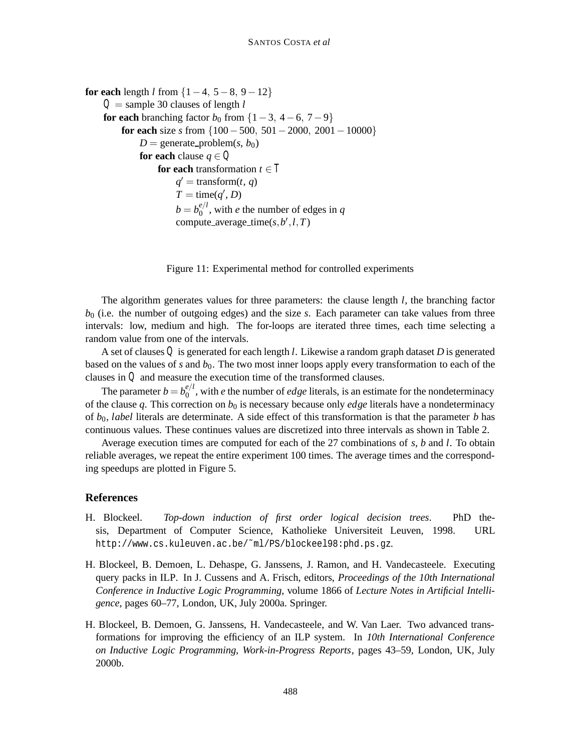```
for each length l from \{1-4, 5-8, 9-12\}Q = sample 30 clauses of length l
for each branching factor b<sub>0</sub> from \{1-3, 4-6, 7-9\}for each size s from {100−500, 501−2000, 2001−10000}
         D = generate_problem(s, b<sub>0</sub>)
         for each clause q ∈ Q
              for each transformation t \in Tq' = transform(t, q)
                  T = \text{time}(q', D)b = b_0^{e/l}, with e the number of edges in q
                  compute_average_time(s, b', l, T)
```
Figure 11: Experimental method for controlled experiments

The algorithm generates values for three parameters: the clause length *l*, the branching factor *b*<sup>0</sup> (i.e. the number of outgoing edges) and the size *s*. Each parameter can take values from three intervals: low, medium and high. The for-loops are iterated three times, each time selecting a random value from one of the intervals.

A set of clauses *Q* is generated for each length *l*. Likewise a random graph dataset *D* is generated based on the values of *s* and  $b_0$ . The two most inner loops apply every transformation to each of the clauses in *Q* and measure the execution time of the transformed clauses.

The parameter  $b = b_0^{e/l}$ , with *e* the number of *edge* literals, is an estimate for the nondeterminacy of the clause  $q$ . This correction on  $b_0$  is necessary because only *edge* literals have a nondeterminacy of  $b_0$ , *label* literals are determinate. A side effect of this transformation is that the parameter *b* has continuous values. These continues values are discretized into three intervals as shown in Table 2.

Average execution times are computed for each of the 27 combinations of *s*, *b* and *l*. To obtain reliable averages, we repeat the entire experiment 100 times. The average times and the corresponding speedups are plotted in Figure 5.

### **References**

- H. Blockeel. *Top-down induction of first order logical decision trees*. PhD thesis, Department of Computer Science, Katholieke Universiteit Leuven, 1998. URL http://www.cs.kuleuven.ac.be/˜ml/PS/blockeel98:phd.ps.gz.
- H. Blockeel, B. Demoen, L. Dehaspe, G. Janssens, J. Ramon, and H. Vandecasteele. Executing query packs in ILP. In J. Cussens and A. Frisch, editors, *Proceedings of the 10th International Conference in Inductive Logic Programming*, volume 1866 of *Lecture Notes in Artificial Intelligence*, pages 60–77, London, UK, July 2000a. Springer.
- H. Blockeel, B. Demoen, G. Janssens, H. Vandecasteele, and W. Van Laer. Two advanced transformations for improving the efficiency of an ILP system. In *10th International Conference on Inductive Logic Programming, Work-in-Progress Reports*, pages 43–59, London, UK, July 2000b.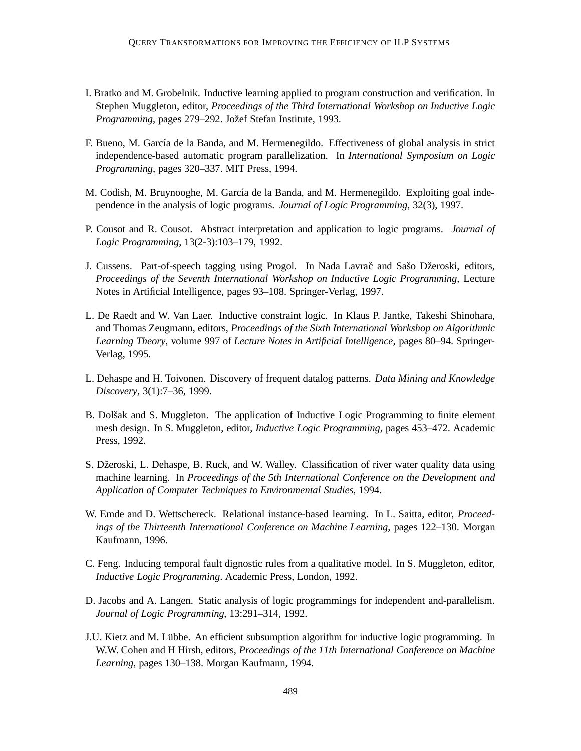- I. Bratko and M. Grobelnik. Inductive learning applied to program construction and verification. In Stephen Muggleton, editor, *Proceedings of the Third International Workshop on Inductive Logic Programming*, pages 279–292. Jožef Stefan Institute, 1993.
- F. Bueno, M. García de la Banda, and M. Hermenegildo. Effectiveness of global analysis in strict independence-based automatic program parallelization. In *International Symposium on Logic Programming*, pages 320–337. MIT Press, 1994.
- M. Codish, M. Bruynooghe, M. García de la Banda, and M. Hermenegildo. Exploiting goal independence in the analysis of logic programs. *Journal of Logic Programming*, 32(3), 1997.
- P. Cousot and R. Cousot. Abstract interpretation and application to logic programs. *Journal of Logic Programming*, 13(2-3):103–179, 1992.
- J. Cussens. Part-of-speech tagging using Progol. In Nada Lavrač and Sašo Džeroski, editors, *Proceedings of the Seventh International Workshop on Inductive Logic Programming*, Lecture Notes in Artificial Intelligence, pages 93–108. Springer-Verlag, 1997.
- L. De Raedt and W. Van Laer. Inductive constraint logic. In Klaus P. Jantke, Takeshi Shinohara, and Thomas Zeugmann, editors, *Proceedings of the Sixth International Workshop on Algorithmic Learning Theory*, volume 997 of *Lecture Notes in Artificial Intelligence*, pages 80–94. Springer-Verlag, 1995.
- L. Dehaspe and H. Toivonen. Discovery of frequent datalog patterns. *Data Mining and Knowledge Discovery*, 3(1):7–36, 1999.
- B. Dolšak and S. Muggleton. The application of Inductive Logic Programming to finite element mesh design. In S. Muggleton, editor, *Inductive Logic Programming*, pages 453–472. Academic Press, 1992.
- S. Džeroski, L. Dehaspe, B. Ruck, and W. Walley. Classification of river water quality data using machine learning. In *Proceedings of the 5th International Conference on the Development and Application of Computer Techniques to Environmental Studies*, 1994.
- W. Emde and D. Wettschereck. Relational instance-based learning. In L. Saitta, editor, *Proceedings of the Thirteenth International Conference on Machine Learning*, pages 122–130. Morgan Kaufmann, 1996.
- C. Feng. Inducing temporal fault dignostic rules from a qualitative model. In S. Muggleton, editor, *Inductive Logic Programming*. Academic Press, London, 1992.
- D. Jacobs and A. Langen. Static analysis of logic programmings for independent and-parallelism. *Journal of Logic Programming*, 13:291–314, 1992.
- J.U. Kietz and M. L¨ubbe. An efficient subsumption algorithm for inductive logic programming. In W.W. Cohen and H Hirsh, editors, *Proceedings of the 11th International Conference on Machine Learning*, pages 130–138. Morgan Kaufmann, 1994.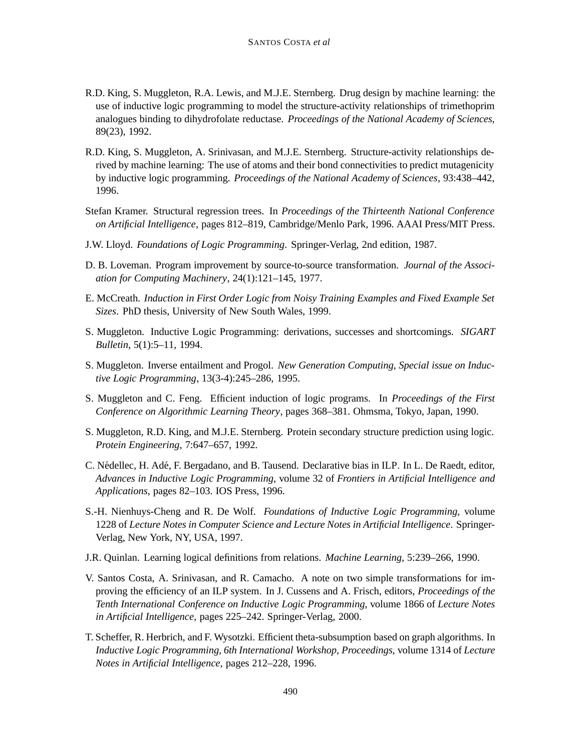- R.D. King, S. Muggleton, R.A. Lewis, and M.J.E. Sternberg. Drug design by machine learning: the use of inductive logic programming to model the structure-activity relationships of trimethoprim analogues binding to dihydrofolate reductase. *Proceedings of the National Academy of Sciences*, 89(23), 1992.
- R.D. King, S. Muggleton, A. Srinivasan, and M.J.E. Sternberg. Structure-activity relationships derived by machine learning: The use of atoms and their bond connectivities to predict mutagenicity by inductive logic programming. *Proceedings of the National Academy of Sciences*, 93:438–442, 1996.
- Stefan Kramer. Structural regression trees. In *Proceedings of the Thirteenth National Conference on Artificial Intelligence*, pages 812–819, Cambridge/Menlo Park, 1996. AAAI Press/MIT Press.
- J.W. Lloyd. *Foundations of Logic Programming*. Springer-Verlag, 2nd edition, 1987.
- D. B. Loveman. Program improvement by source-to-source transformation. *Journal of the Association for Computing Machinery*, 24(1):121–145, 1977.
- E. McCreath. *Induction in First Order Logic from Noisy Training Examples and Fixed Example Set Sizes*. PhD thesis, University of New South Wales, 1999.
- S. Muggleton. Inductive Logic Programming: derivations, successes and shortcomings. *SIGART Bulletin*, 5(1):5–11, 1994.
- S. Muggleton. Inverse entailment and Progol. *New Generation Computing, Special issue on Inductive Logic Programming*, 13(3-4):245–286, 1995.
- S. Muggleton and C. Feng. Efficient induction of logic programs. In *Proceedings of the First Conference on Algorithmic Learning Theory*, pages 368–381. Ohmsma, Tokyo, Japan, 1990.
- S. Muggleton, R.D. King, and M.J.E. Sternberg. Protein secondary structure prediction using logic. *Protein Engineering*, 7:647–657, 1992.
- C. N´edellec, H. Ad´e, F. Bergadano, and B. Tausend. Declarative bias in ILP. In L. De Raedt, editor, *Advances in Inductive Logic Programming*, volume 32 of *Frontiers in Artificial Intelligence and Applications*, pages 82–103. IOS Press, 1996.
- S.-H. Nienhuys-Cheng and R. De Wolf. *Foundations of Inductive Logic Programming*, volume 1228 of *Lecture Notes in Computer Science and Lecture Notes in Artificial Intelligence*. Springer-Verlag, New York, NY, USA, 1997.
- J.R. Quinlan. Learning logical definitions from relations. *Machine Learning*, 5:239–266, 1990.
- V. Santos Costa, A. Srinivasan, and R. Camacho. A note on two simple transformations for improving the efficiency of an ILP system. In J. Cussens and A. Frisch, editors, *Proceedings of the Tenth International Conference on Inductive Logic Programming*, volume 1866 of *Lecture Notes in Artificial Intelligence*, pages 225–242. Springer-Verlag, 2000.
- T. Scheffer, R. Herbrich, and F. Wysotzki. Efficient theta-subsumption based on graph algorithms. In *Inductive Logic Programming, 6th International Workshop, Proceedings*, volume 1314 of *Lecture Notes in Artificial Intelligence*, pages 212–228, 1996.